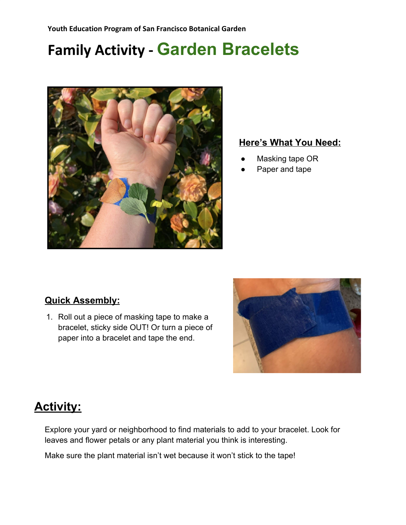# **Family Activity - Garden Bracelets**



#### **Here's What You Need:**

- Masking tape OR
- Paper and tape

### **Quick Assembly:**

1. Roll out a piece of masking tape to make a bracelet, sticky side OUT! Or turn a piece of paper into a bracelet and tape the end.



## **Activity:**

Explore your yard or neighborhood to find materials to add to your bracelet. Look for leaves and flower petals or any plant material you think is interesting.

Make sure the plant material isn't wet because it won't stick to the tape!